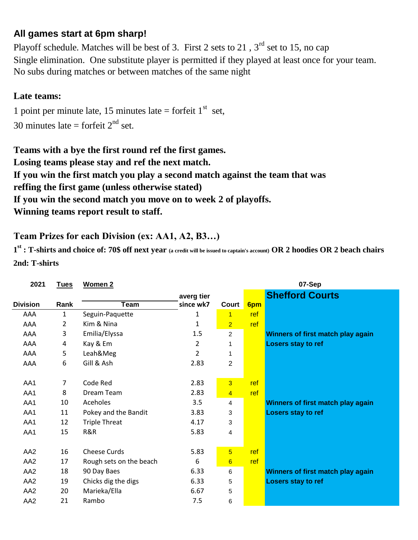## **All games start at 6pm sharp!**

No subs during matches or between matches of the same night Playoff schedule. Matches will be best of 3. First 2 sets to 21,  $3<sup>rd</sup>$  set to 15, no cap Single elimination. One substitute player is permitted if they played at least once for your team.

## **Late teams:**

1 point per minute late, 15 minutes late = forfeit  $1<sup>st</sup>$  set, 30 minutes late = forfeit  $2<sup>nd</sup>$  set.

**Losing teams please stay and ref the next match. If you win the first match you play a second match against the team that was If you win the second match you move on to week 2 of playoffs. reffing the first game (unless otherwise stated) Teams with a bye the first round ref the first games. Winning teams report result to staff.**

## **Team Prizes for each Division (ex: AA1, A2, B3…)**

**1 st : T-shirts and choice of: 70\$ off next year (a credit will be issued to captain's account) OR 2 hoodies OR 2 beach chairs 2nd: T-shirts**

| 2021            | <b>Tues</b>    | Women 2                 |                | 07-Sep         |     |                                   |
|-----------------|----------------|-------------------------|----------------|----------------|-----|-----------------------------------|
|                 |                |                         | averg tier     |                |     | <b>Shefford Courts</b>            |
| <b>Division</b> | Rank           | <b>Team</b>             | since wk7      | Court          | 6pm |                                   |
| AAA             | $\mathbf{1}$   | Seguin-Paquette         | 1              | $\overline{1}$ | ref |                                   |
| AAA             | $\overline{2}$ | Kim & Nina              | 1              | $\overline{2}$ | ref |                                   |
| AAA             | 3              | Emilia/Elyssa           | 1.5            | $\overline{c}$ |     | Winners of first match play again |
| AAA             | 4              | Kay & Em                | $\overline{2}$ | 1              |     | Losers stay to ref                |
| AAA             | 5              | Leah&Meg                | $\overline{2}$ | 1              |     |                                   |
| AAA             | 6              | Gill & Ash              | 2.83           | $\overline{2}$ |     |                                   |
|                 |                |                         |                |                |     |                                   |
| AA1             | 7              | Code Red                | 2.83           | $\overline{3}$ | ref |                                   |
| AA1             | 8              | Dream Team              | 2.83           | $\overline{4}$ | ref |                                   |
| AA1             | 10             | Aceholes                | 3.5            | $\overline{4}$ |     | Winners of first match play again |
| AA1             | 11             | Pokey and the Bandit    | 3.83           | 3              |     | Losers stay to ref                |
| AA1             | 12             | <b>Triple Threat</b>    | 4.17           | 3              |     |                                   |
| AA1             | 15             | R&R                     | 5.83           | 4              |     |                                   |
|                 |                |                         |                |                |     |                                   |
| AA <sub>2</sub> | 16             | <b>Cheese Curds</b>     | 5.83           | $\overline{5}$ | ref |                                   |
| AA <sub>2</sub> | 17             | Rough sets on the beach | 6              | 6              | ref |                                   |
| AA <sub>2</sub> | 18             | 90 Day Baes             | 6.33           | 6              |     | Winners of first match play again |
| AA <sub>2</sub> | 19             | Chicks dig the digs     | 6.33           | 5              |     | Losers stay to ref                |
| AA <sub>2</sub> | 20             | Marieka/Ella            | 6.67           | 5              |     |                                   |
| AA <sub>2</sub> | 21             | Rambo                   | 7.5            | 6              |     |                                   |
|                 |                |                         |                |                |     |                                   |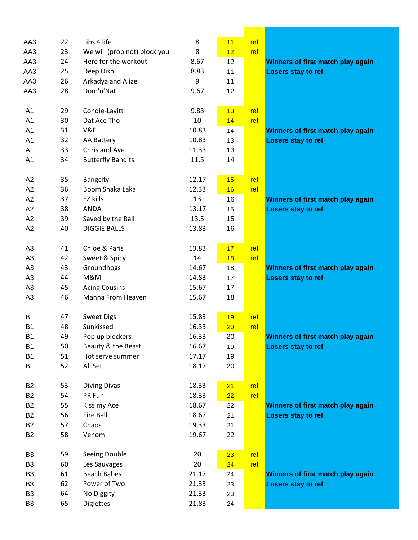| AA3            | 22 | Libs 4 life                            | 8     | 11       | ref |                                   |
|----------------|----|----------------------------------------|-------|----------|-----|-----------------------------------|
| AA3            | 23 | We will (prob not) block you           | 8     | 12       | ref |                                   |
| AA3            | 24 | Here for the workout                   | 8.67  | 12       |     | Winners of first match play again |
| AA3            | 25 | Deep Dish                              | 8.83  | 11       |     | Losers stay to ref                |
| AA3            | 26 | Arkadya and Alize                      | 9     | 11       |     |                                   |
| AA3            | 28 | Dom'n'Nat                              | 9.67  | 12       |     |                                   |
|                |    |                                        |       |          |     |                                   |
| A1             | 29 | Condie-Lavitt                          | 9.83  | 13       | ref |                                   |
| A <sub>1</sub> | 30 | Dat Ace Tho                            | 10    | 14       | ref |                                   |
| A <sub>1</sub> | 31 | V&E                                    | 10.83 | 14       |     | Winners of first match play again |
| A <sub>1</sub> | 32 | AA Battery                             | 10.83 | 13       |     | Losers stay to ref                |
| A <sub>1</sub> | 33 | Chris and Ave                          | 11.33 | 13       |     |                                   |
| A1             | 34 | <b>Butterfly Bandits</b>               | 11.5  | 14       |     |                                   |
|                |    |                                        |       |          |     |                                   |
| A2             | 35 | <b>Bangcity</b>                        | 12.17 | 15       | ref |                                   |
| A2             | 36 | Boom Shaka Laka                        | 12.33 | 16       | ref |                                   |
| A2             | 37 | EZ kills                               | 13    | 16       |     | Winners of first match play again |
| A2             | 38 | <b>ANDA</b>                            | 13.17 | 15       |     | Losers stay to ref                |
| A2             | 39 | Saved by the Ball                      | 13.5  | 15       |     |                                   |
| A2             | 40 | <b>DIGGIE BALLS</b>                    | 13.83 | 16       |     |                                   |
|                |    |                                        |       |          |     |                                   |
| A <sub>3</sub> | 41 | Chloe & Paris                          | 13.83 | 17       | ref |                                   |
| A <sub>3</sub> | 42 | Sweet & Spicy                          | 14    | 18       | ref |                                   |
| A <sub>3</sub> | 43 | Groundhogs                             | 14.67 | 18       |     | Winners of first match play again |
| A <sub>3</sub> | 44 | M&M                                    | 14.83 | 17       |     | Losers stay to ref                |
| A <sub>3</sub> | 45 | <b>Acing Cousins</b>                   | 15.67 | 17       |     |                                   |
|                | 46 | Manna From Heaven                      | 15.67 |          |     |                                   |
| A <sub>3</sub> |    |                                        |       | 18       |     |                                   |
| B <sub>1</sub> | 47 | <b>Sweet Digs</b>                      | 15.83 | 19       | ref |                                   |
| B <sub>1</sub> | 48 | Sunkissed                              | 16.33 |          | ref |                                   |
| B <sub>1</sub> | 49 | Pop up blockers                        | 16.33 | 20<br>20 |     |                                   |
|                |    |                                        |       |          |     | Winners of first match play again |
| <b>B1</b>      | 50 | Beauty & the Beast<br>Hot serve summer | 16.67 | 19       |     | Losers stay to ref                |
| <b>B1</b>      | 51 |                                        | 17.17 | 19       |     |                                   |
| <b>B1</b>      | 52 | All Set                                | 18.17 | 20       |     |                                   |
|                |    |                                        |       |          |     |                                   |
| <b>B2</b>      | 53 | <b>Diving Divas</b><br>PR Fun          | 18.33 | 21       | ref |                                   |
| <b>B2</b>      | 54 |                                        | 18.33 | 22       | ref |                                   |
| <b>B2</b>      | 55 | Kiss my Ace                            | 18.67 | 22       |     | Winners of first match play again |
| <b>B2</b>      | 56 | <b>Fire Ball</b>                       | 18.67 | 21       |     | Losers stay to ref                |
| <b>B2</b>      | 57 | Chaos                                  | 19.33 | 21       |     |                                   |
| <b>B2</b>      | 58 | Venom                                  | 19.67 | 22       |     |                                   |
|                |    |                                        |       |          |     |                                   |
| B <sub>3</sub> | 59 | Seeing Double                          | 20    | 23       | ref |                                   |
| B <sub>3</sub> | 60 | Les Sauvages                           | 20    | 24       | ref |                                   |
| B <sub>3</sub> | 61 | <b>Beach Babes</b>                     | 21.17 | 24       |     | Winners of first match play again |
| B <sub>3</sub> | 62 | Power of Two                           | 21.33 | 23       |     | Losers stay to ref                |
| B <sub>3</sub> | 64 | No Diggity                             | 21.33 | 23       |     |                                   |
| B <sub>3</sub> | 65 | Diglettes                              | 21.83 | 24       |     |                                   |